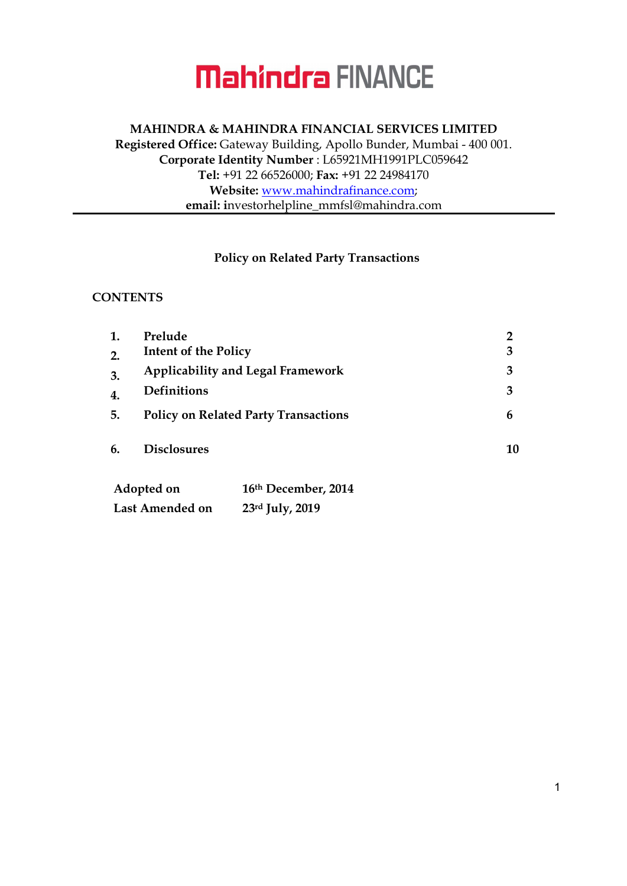#### MAHINDRA & MAHINDRA FINANCIAL SERVICES LIMITED Registered Office: Gateway Building, Apollo Bunder, Mumbai - 400 001. Corporate Identity Number : L65921MH1991PLC059642 Tel: +91 22 66526000; Fax: +91 22 24984170 Website: www.mahindrafinance.com; email: investorhelpline\_mmfsl@mahindra.com

#### Policy on Related Party Transactions

#### **CONTENTS**

| 1.                     | Prelude                                     |                     | $\overline{2}$ |
|------------------------|---------------------------------------------|---------------------|----------------|
| 2.                     | <b>Intent of the Policy</b>                 | 3                   |                |
| 3.                     | <b>Applicability and Legal Framework</b>    | 3                   |                |
| 4.                     | <b>Definitions</b>                          | 3                   |                |
| 5.                     | <b>Policy on Related Party Transactions</b> | 6                   |                |
| 6.                     | <b>Disclosures</b>                          |                     | 10             |
| Adopted on             |                                             | 16th December, 2014 |                |
| <b>Last Amended on</b> |                                             | $23rd$ July, 2019   |                |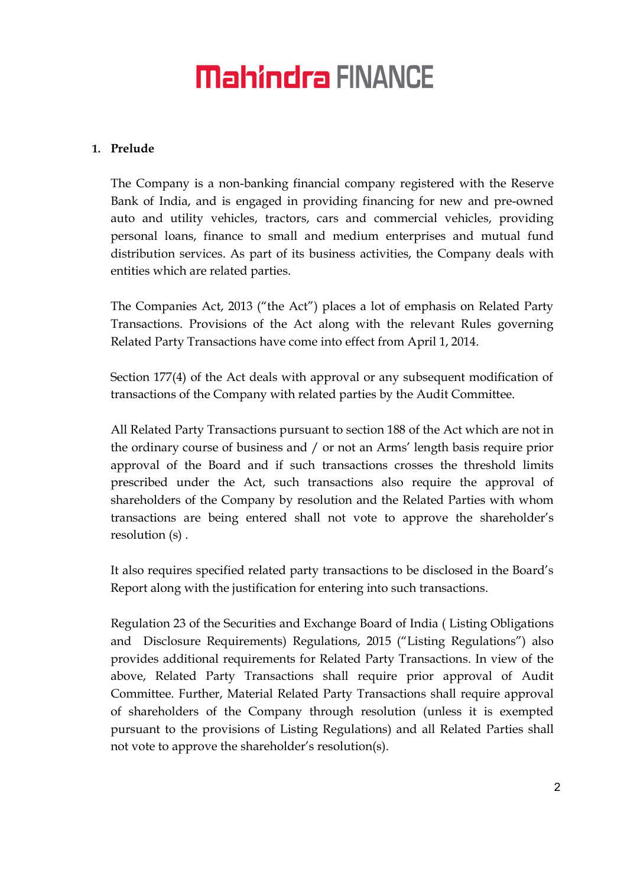#### 1. Prelude

The Company is a non-banking financial company registered with the Reserve Bank of India, and is engaged in providing financing for new and pre-owned auto and utility vehicles, tractors, cars and commercial vehicles, providing personal loans, finance to small and medium enterprises and mutual fund distribution services. As part of its business activities, the Company deals with entities which are related parties.

The Companies Act, 2013 ("the Act") places a lot of emphasis on Related Party Transactions. Provisions of the Act along with the relevant Rules governing Related Party Transactions have come into effect from April 1, 2014.

Section 177(4) of the Act deals with approval or any subsequent modification of transactions of the Company with related parties by the Audit Committee.

All Related Party Transactions pursuant to section 188 of the Act which are not in the ordinary course of business and / or not an Arms' length basis require prior approval of the Board and if such transactions crosses the threshold limits prescribed under the Act, such transactions also require the approval of shareholders of the Company by resolution and the Related Parties with whom transactions are being entered shall not vote to approve the shareholder's resolution (s) .

It also requires specified related party transactions to be disclosed in the Board's Report along with the justification for entering into such transactions.

Regulation 23 of the Securities and Exchange Board of India ( Listing Obligations and Disclosure Requirements) Regulations, 2015 ("Listing Regulations") also provides additional requirements for Related Party Transactions. In view of the above, Related Party Transactions shall require prior approval of Audit Committee. Further, Material Related Party Transactions shall require approval of shareholders of the Company through resolution (unless it is exempted pursuant to the provisions of Listing Regulations) and all Related Parties shall not vote to approve the shareholder's resolution(s).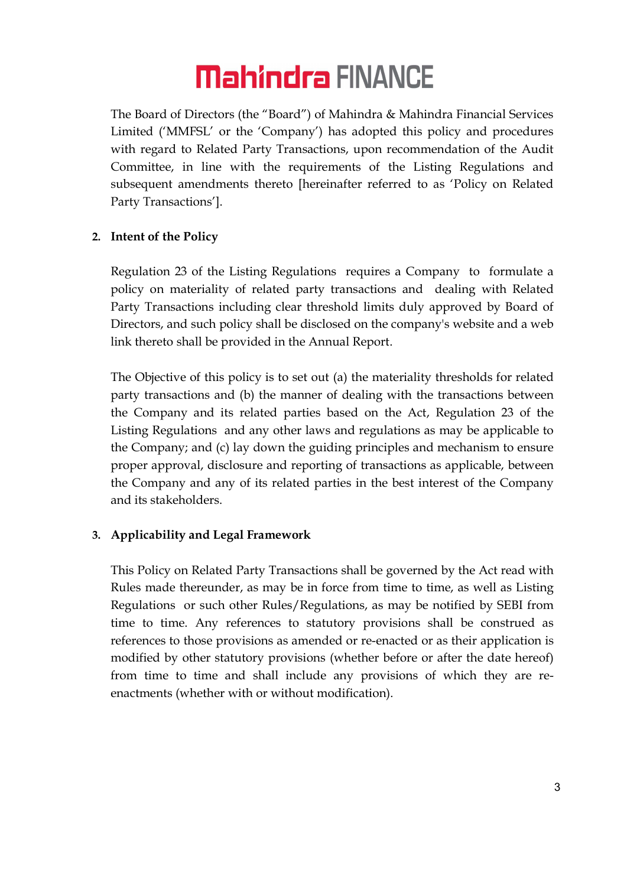The Board of Directors (the "Board") of Mahindra & Mahindra Financial Services Limited ('MMFSL' or the 'Company') has adopted this policy and procedures with regard to Related Party Transactions, upon recommendation of the Audit Committee, in line with the requirements of the Listing Regulations and subsequent amendments thereto [hereinafter referred to as 'Policy on Related Party Transactions'].

#### 2. Intent of the Policy

Regulation 23 of the Listing Regulations requires a Company to formulate a policy on materiality of related party transactions and dealing with Related Party Transactions including clear threshold limits duly approved by Board of Directors, and such policy shall be disclosed on the company's website and a web link thereto shall be provided in the Annual Report.

The Objective of this policy is to set out (a) the materiality thresholds for related party transactions and (b) the manner of dealing with the transactions between the Company and its related parties based on the Act, Regulation 23 of the Listing Regulations and any other laws and regulations as may be applicable to the Company; and (c) lay down the guiding principles and mechanism to ensure proper approval, disclosure and reporting of transactions as applicable, between the Company and any of its related parties in the best interest of the Company and its stakeholders.

#### 3. Applicability and Legal Framework

This Policy on Related Party Transactions shall be governed by the Act read with Rules made thereunder, as may be in force from time to time, as well as Listing Regulations or such other Rules/Regulations, as may be notified by SEBI from time to time. Any references to statutory provisions shall be construed as references to those provisions as amended or re-enacted or as their application is modified by other statutory provisions (whether before or after the date hereof) from time to time and shall include any provisions of which they are reenactments (whether with or without modification).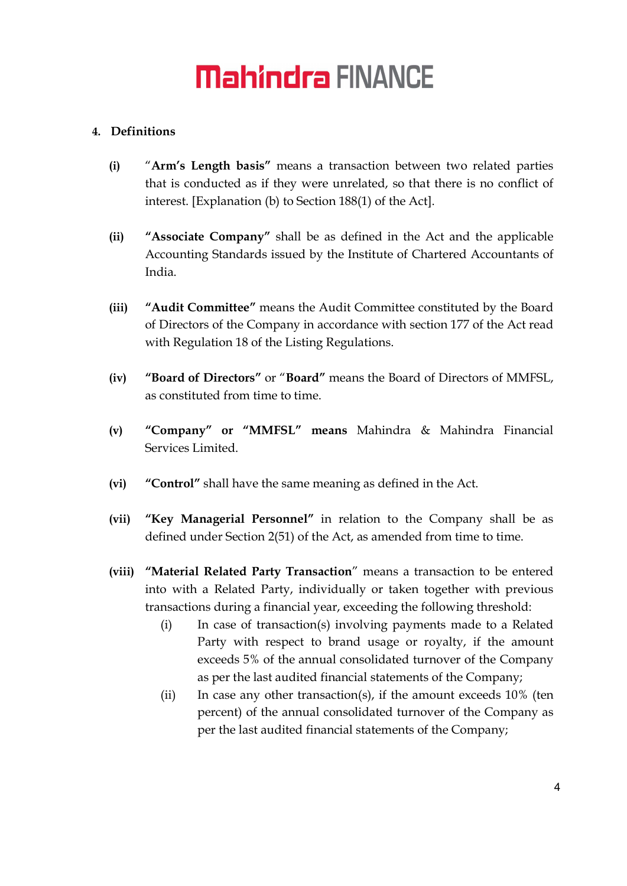#### 4. Definitions

- (i) "Arm's Length basis" means a transaction between two related parties that is conducted as if they were unrelated, so that there is no conflict of interest. [Explanation (b) to Section 188(1) of the Act].
- (ii) "Associate Company" shall be as defined in the Act and the applicable Accounting Standards issued by the Institute of Chartered Accountants of India.
- (iii) "Audit Committee" means the Audit Committee constituted by the Board of Directors of the Company in accordance with section 177 of the Act read with Regulation 18 of the Listing Regulations.
- (iv) "Board of Directors" or "Board" means the Board of Directors of MMFSL, as constituted from time to time.
- (v) "Company" or "MMFSL" means Mahindra & Mahindra Financial Services Limited.
- (vi) "Control" shall have the same meaning as defined in the Act.
- (vii) "Key Managerial Personnel" in relation to the Company shall be as defined under Section 2(51) of the Act, as amended from time to time.
- (viii) "Material Related Party Transaction" means a transaction to be entered into with a Related Party, individually or taken together with previous transactions during a financial year, exceeding the following threshold:
	- (i) In case of transaction(s) involving payments made to a Related Party with respect to brand usage or royalty, if the amount exceeds 5% of the annual consolidated turnover of the Company as per the last audited financial statements of the Company;
	- (ii) In case any other transaction(s), if the amount exceeds  $10\%$  (ten percent) of the annual consolidated turnover of the Company as per the last audited financial statements of the Company;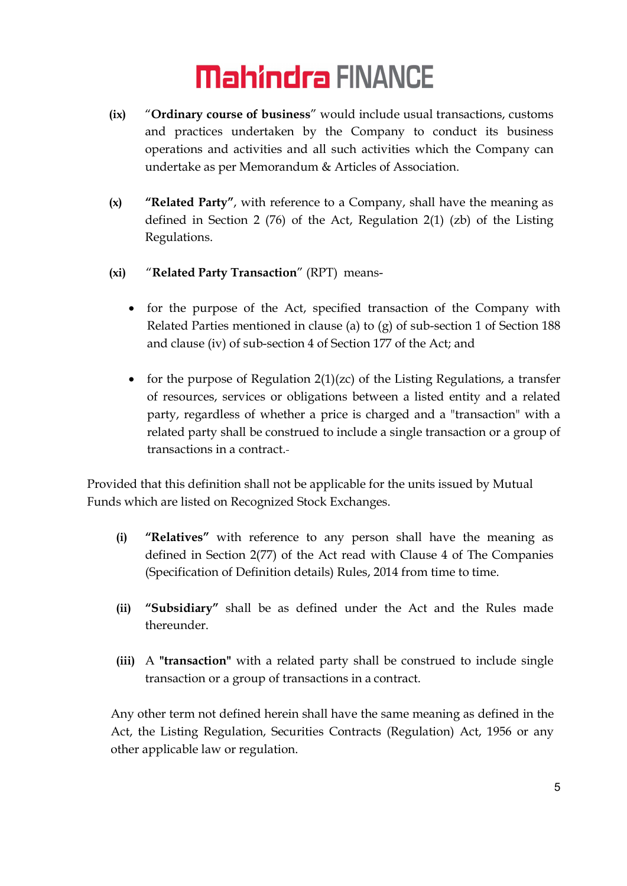- (ix) "Ordinary course of business" would include usual transactions, customs and practices undertaken by the Company to conduct its business operations and activities and all such activities which the Company can undertake as per Memorandum & Articles of Association.
- (x) "Related Party", with reference to a Company, shall have the meaning as defined in Section 2 (76) of the Act, Regulation 2(1) (zb) of the Listing Regulations.
- (xi) "Related Party Transaction" (RPT) means-
	- for the purpose of the Act, specified transaction of the Company with Related Parties mentioned in clause (a) to (g) of sub-section 1 of Section 188 and clause (iv) of sub-section 4 of Section 177 of the Act; and
	- for the purpose of Regulation  $2(1)(zc)$  of the Listing Regulations, a transfer of resources, services or obligations between a listed entity and a related party, regardless of whether a price is charged and a "transaction" with a related party shall be construed to include a single transaction or a group of transactions in a contract.

Provided that this definition shall not be applicable for the units issued by Mutual Funds which are listed on Recognized Stock Exchanges.

- (i) "Relatives" with reference to any person shall have the meaning as defined in Section 2(77) of the Act read with Clause 4 of The Companies (Specification of Definition details) Rules, 2014 from time to time.
- (ii) "Subsidiary" shall be as defined under the Act and the Rules made thereunder.
- (iii) A "transaction" with a related party shall be construed to include single transaction or a group of transactions in a contract.

Any other term not defined herein shall have the same meaning as defined in the Act, the Listing Regulation, Securities Contracts (Regulation) Act, 1956 or any other applicable law or regulation.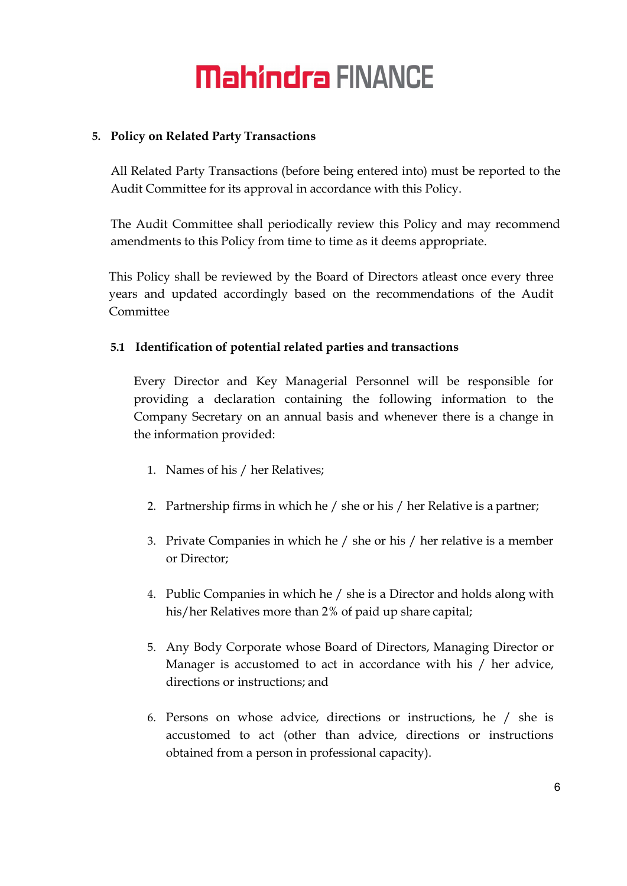#### 5. Policy on Related Party Transactions

All Related Party Transactions (before being entered into) must be reported to the Audit Committee for its approval in accordance with this Policy.

The Audit Committee shall periodically review this Policy and may recommend amendments to this Policy from time to time as it deems appropriate.

This Policy shall be reviewed by the Board of Directors atleast once every three years and updated accordingly based on the recommendations of the Audit **Committee** 

#### 5.1 Identification of potential related parties and transactions

Every Director and Key Managerial Personnel will be responsible for providing a declaration containing the following information to the Company Secretary on an annual basis and whenever there is a change in the information provided:

- 1. Names of his / her Relatives;
- 2. Partnership firms in which he / she or his / her Relative is a partner;
- 3. Private Companies in which he / she or his / her relative is a member or Director;
- 4. Public Companies in which he / she is a Director and holds along with his/her Relatives more than 2% of paid up share capital;
- 5. Any Body Corporate whose Board of Directors, Managing Director or Manager is accustomed to act in accordance with his / her advice, directions or instructions; and
- 6. Persons on whose advice, directions or instructions, he / she is accustomed to act (other than advice, directions or instructions obtained from a person in professional capacity).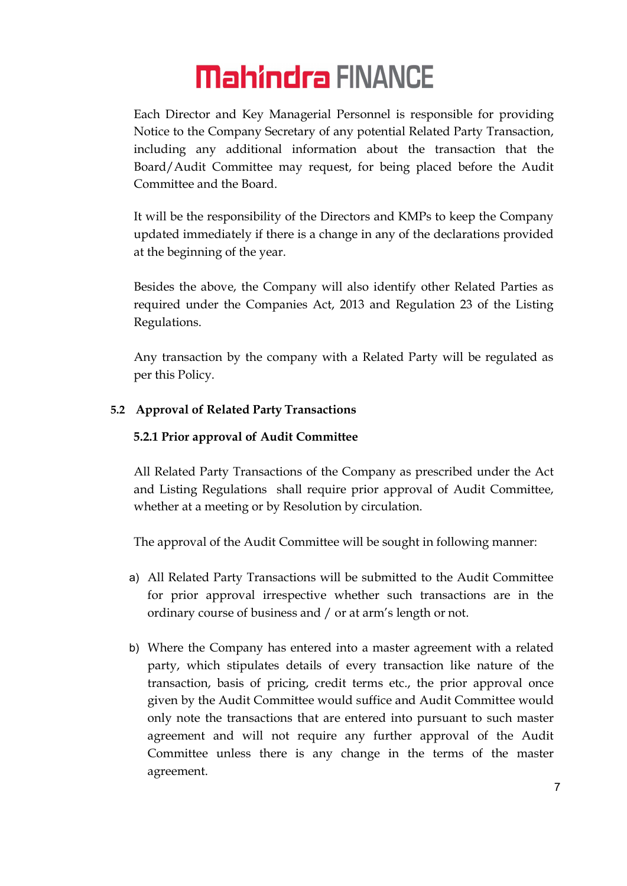Each Director and Key Managerial Personnel is responsible for providing Notice to the Company Secretary of any potential Related Party Transaction, including any additional information about the transaction that the Board/Audit Committee may request, for being placed before the Audit Committee and the Board.

It will be the responsibility of the Directors and KMPs to keep the Company updated immediately if there is a change in any of the declarations provided at the beginning of the year.

Besides the above, the Company will also identify other Related Parties as required under the Companies Act, 2013 and Regulation 23 of the Listing Regulations.

Any transaction by the company with a Related Party will be regulated as per this Policy.

#### 5.2 Approval of Related Party Transactions

#### 5.2.1 Prior approval of Audit Committee

All Related Party Transactions of the Company as prescribed under the Act and Listing Regulations shall require prior approval of Audit Committee, whether at a meeting or by Resolution by circulation.

The approval of the Audit Committee will be sought in following manner:

- a) All Related Party Transactions will be submitted to the Audit Committee for prior approval irrespective whether such transactions are in the ordinary course of business and / or at arm's length or not.
- b) Where the Company has entered into a master agreement with a related party, which stipulates details of every transaction like nature of the transaction, basis of pricing, credit terms etc., the prior approval once given by the Audit Committee would suffice and Audit Committee would only note the transactions that are entered into pursuant to such master agreement and will not require any further approval of the Audit Committee unless there is any change in the terms of the master agreement.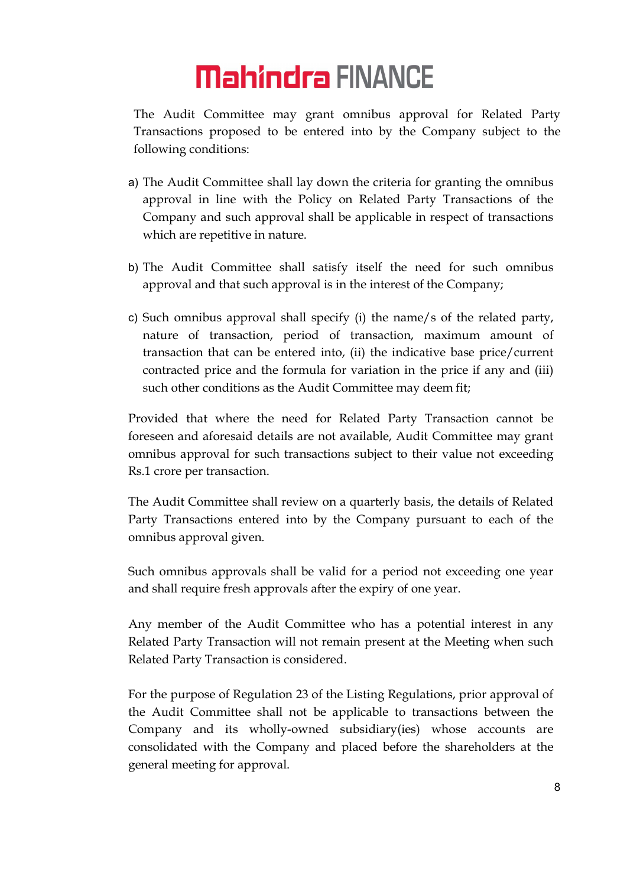The Audit Committee may grant omnibus approval for Related Party Transactions proposed to be entered into by the Company subject to the following conditions:

- a) The Audit Committee shall lay down the criteria for granting the omnibus approval in line with the Policy on Related Party Transactions of the Company and such approval shall be applicable in respect of transactions which are repetitive in nature.
- b) The Audit Committee shall satisfy itself the need for such omnibus approval and that such approval is in the interest of the Company;
- c) Such omnibus approval shall specify (i) the name/s of the related party, nature of transaction, period of transaction, maximum amount of transaction that can be entered into, (ii) the indicative base price/current contracted price and the formula for variation in the price if any and (iii) such other conditions as the Audit Committee may deem fit;

Provided that where the need for Related Party Transaction cannot be foreseen and aforesaid details are not available, Audit Committee may grant omnibus approval for such transactions subject to their value not exceeding Rs.1 crore per transaction.

The Audit Committee shall review on a quarterly basis, the details of Related Party Transactions entered into by the Company pursuant to each of the omnibus approval given.

Such omnibus approvals shall be valid for a period not exceeding one year and shall require fresh approvals after the expiry of one year.

Any member of the Audit Committee who has a potential interest in any Related Party Transaction will not remain present at the Meeting when such Related Party Transaction is considered.

For the purpose of Regulation 23 of the Listing Regulations, prior approval of the Audit Committee shall not be applicable to transactions between the Company and its wholly-owned subsidiary(ies) whose accounts are consolidated with the Company and placed before the shareholders at the general meeting for approval.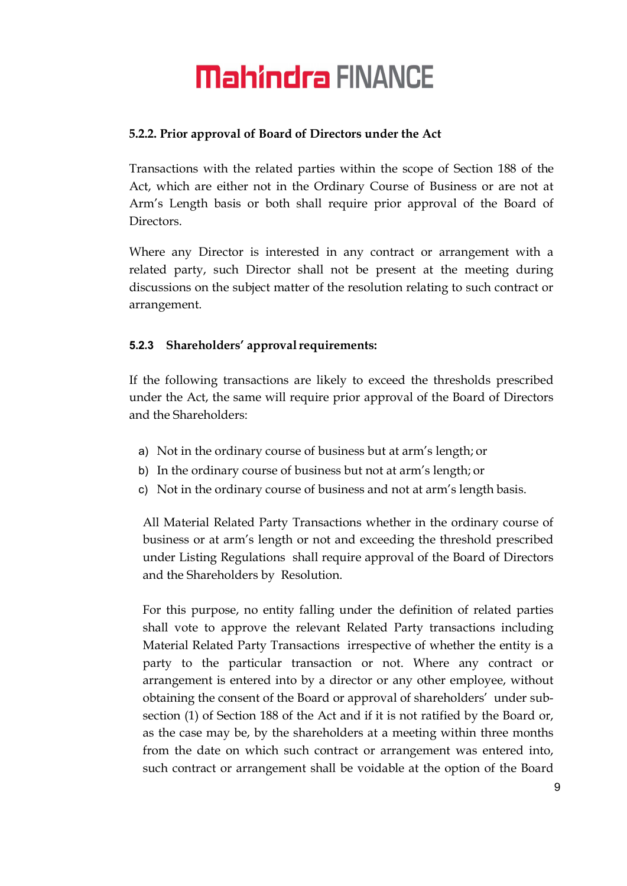#### 5.2.2. Prior approval of Board of Directors under the Act

Transactions with the related parties within the scope of Section 188 of the Act, which are either not in the Ordinary Course of Business or are not at Arm's Length basis or both shall require prior approval of the Board of Directors.

Where any Director is interested in any contract or arrangement with a related party, such Director shall not be present at the meeting during discussions on the subject matter of the resolution relating to such contract or arrangement.

#### 5.2.3 Shareholders' approval requirements:

If the following transactions are likely to exceed the thresholds prescribed under the Act, the same will require prior approval of the Board of Directors and the Shareholders:

- a) Not in the ordinary course of business but at arm's length; or
- b) In the ordinary course of business but not at arm's length; or
- c) Not in the ordinary course of business and not at arm's length basis.

All Material Related Party Transactions whether in the ordinary course of business or at arm's length or not and exceeding the threshold prescribed under Listing Regulations shall require approval of the Board of Directors and the Shareholders by Resolution.

For this purpose, no entity falling under the definition of related parties shall vote to approve the relevant Related Party transactions including Material Related Party Transactions irrespective of whether the entity is a party to the particular transaction or not. Where any contract or arrangement is entered into by a director or any other employee, without obtaining the consent of the Board or approval of shareholders' under subsection (1) of Section 188 of the Act and if it is not ratified by the Board or, as the case may be, by the shareholders at a meeting within three months from the date on which such contract or arrangement was entered into, such contract or arrangement shall be voidable at the option of the Board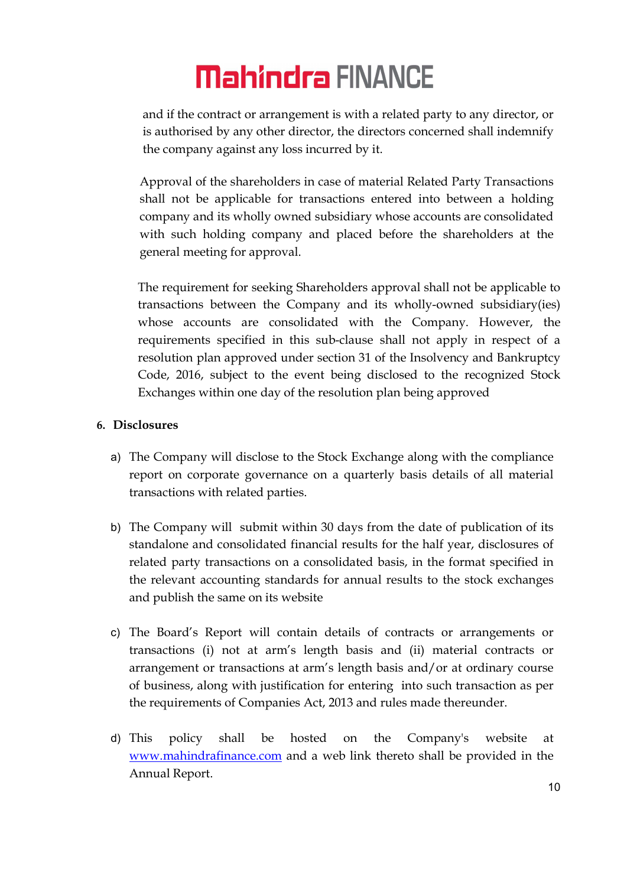and if the contract or arrangement is with a related party to any director, or is authorised by any other director, the directors concerned shall indemnify the company against any loss incurred by it.

Approval of the shareholders in case of material Related Party Transactions shall not be applicable for transactions entered into between a holding company and its wholly owned subsidiary whose accounts are consolidated with such holding company and placed before the shareholders at the general meeting for approval.

The requirement for seeking Shareholders approval shall not be applicable to transactions between the Company and its wholly-owned subsidiary(ies) whose accounts are consolidated with the Company. However, the requirements specified in this sub-clause shall not apply in respect of a resolution plan approved under section 31 of the Insolvency and Bankruptcy Code, 2016, subject to the event being disclosed to the recognized Stock Exchanges within one day of the resolution plan being approved

#### 6. Disclosures

- a) The Company will disclose to the Stock Exchange along with the compliance report on corporate governance on a quarterly basis details of all material transactions with related parties.
- b) The Company will submit within 30 days from the date of publication of its standalone and consolidated financial results for the half year, disclosures of related party transactions on a consolidated basis, in the format specified in the relevant accounting standards for annual results to the stock exchanges and publish the same on its website
- c) The Board's Report will contain details of contracts or arrangements or transactions (i) not at arm's length basis and (ii) material contracts or arrangement or transactions at arm's length basis and/or at ordinary course of business, along with justification for entering into such transaction as per the requirements of Companies Act, 2013 and rules made thereunder.
- d) This policy shall be hosted on the Company's website at www.mahindrafinance.com and a web link thereto shall be provided in the Annual Report.